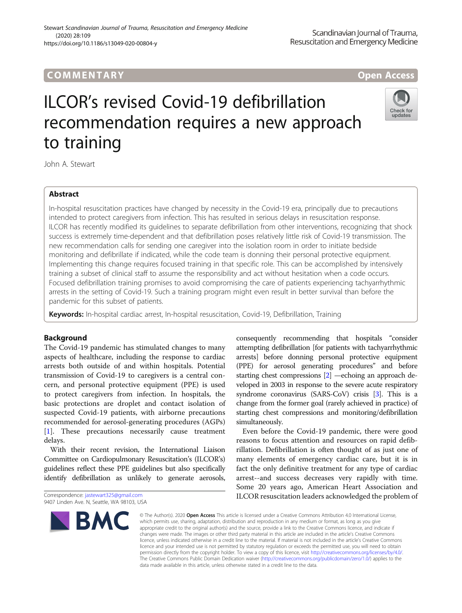# ILCOR's revised Covid-19 defibrillation recommendation requires a new approach to training

John A. Stewart

# Abstract

In-hospital resuscitation practices have changed by necessity in the Covid-19 era, principally due to precautions intended to protect caregivers from infection. This has resulted in serious delays in resuscitation response. ILCOR has recently modified its guidelines to separate defibrillation from other interventions, recognizing that shock success is extremely time-dependent and that defibrillation poses relatively little risk of Covid-19 transmission. The new recommendation calls for sending one caregiver into the isolation room in order to initiate bedside monitoring and defibrillate if indicated, while the code team is donning their personal protective equipment. Implementing this change requires focused training in that specific role. This can be accomplished by intensively training a subset of clinical staff to assume the responsibility and act without hesitation when a code occurs. Focused defibrillation training promises to avoid compromising the care of patients experiencing tachyarrhythmic arrests in the setting of Covid-19. Such a training program might even result in better survival than before the pandemic for this subset of patients.

Keywords: In-hospital cardiac arrest, In-hospital resuscitation, Covid-19, Defibrillation, Training

# Background

The Covid-19 pandemic has stimulated changes to many aspects of healthcare, including the response to cardiac arrests both outside of and within hospitals. Potential transmission of Covid-19 to caregivers is a central concern, and personal protective equipment (PPE) is used to protect caregivers from infection. In hospitals, the basic protections are droplet and contact isolation of suspected Covid-19 patients, with airborne precautions recommended for aerosol-generating procedures (AGPs) [[1\]](#page-1-0). These precautions necessarily cause treatment delays.

With their recent revision, the International Liaison Committee on Cardiopulmonary Resuscitation's (ILCOR's) guidelines reflect these PPE guidelines but also specifically identify defibrillation as unlikely to generate aerosols,

attempting defibrillation [for patients with tachyarrhythmic arrests] before donning personal protective equipment (PPE) for aerosol generating procedures" and before starting chest compressions [\[2\]](#page-1-0) —echoing an approach developed in 2003 in response to the severe acute respiratory syndrome coronavirus (SARS-CoV) crisis [\[3\]](#page-1-0). This is a change from the former goal (rarely achieved in practice) of starting chest compressions and monitoring/defibrillation simultaneously. Even before the Covid-19 pandemic, there were good

consequently recommending that hospitals "consider

reasons to focus attention and resources on rapid defibrillation. Defibrillation is often thought of as just one of many elements of emergency cardiac care, but it is in fact the only definitive treatment for any type of cardiac arrest--and success decreases very rapidly with time. Some 20 years ago, American Heart Association and ILCOR resuscitation leaders acknowledged the problem of

© The Author(s), 2020 **Open Access** This article is licensed under a Creative Commons Attribution 4.0 International License, which permits use, sharing, adaptation, distribution and reproduction in any medium or format, as long as you give appropriate credit to the original author(s) and the source, provide a link to the Creative Commons licence, and indicate if changes were made. The images or other third party material in this article are included in the article's Creative Commons licence, unless indicated otherwise in a credit line to the material. If material is not included in the article's Creative Commons licence and your intended use is not permitted by statutory regulation or exceeds the permitted use, you will need to obtain permission directly from the copyright holder. To view a copy of this licence, visit [http://creativecommons.org/licenses/by/4.0/.](http://creativecommons.org/licenses/by/4.0/) The Creative Commons Public Domain Dedication waiver [\(http://creativecommons.org/publicdomain/zero/1.0/](http://creativecommons.org/publicdomain/zero/1.0/)) applies to the data made available in this article, unless otherwise stated in a credit line to the data.

Correspondence: [jastewart325@gmail.com](mailto:jastewart325@gmail.com)



Scandinavian Journal of Trauma, Resuscitation and Emergency Medicine





<sup>9407</sup> Linden Ave. N, Seattle, WA 98103, USA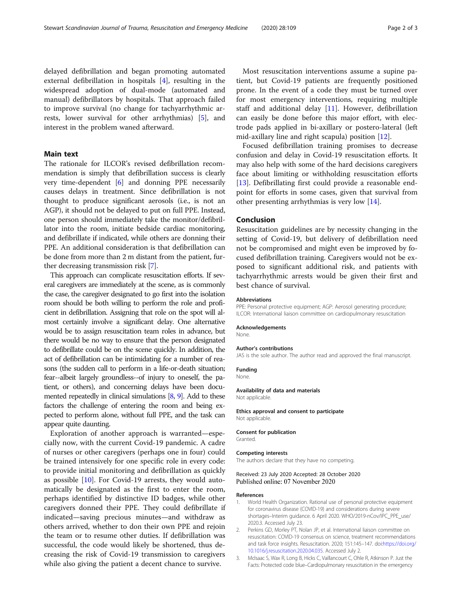<span id="page-1-0"></span>delayed defibrillation and began promoting automated external defibrillation in hospitals [[4\]](#page-2-0), resulting in the widespread adoption of dual-mode (automated and manual) defibrillators by hospitals. That approach failed to improve survival (no change for tachyarrhythmic arrests, lower survival for other arrhythmias) [[5\]](#page-2-0), and interest in the problem waned afterward.

## Main text

The rationale for ILCOR's revised defibrillation recommendation is simply that defibrillation success is clearly very time-dependent [[6\]](#page-2-0) and donning PPE necessarily causes delays in treatment. Since defibrillation is not thought to produce significant aerosols (i.e., is not an AGP), it should not be delayed to put on full PPE. Instead, one person should immediately take the monitor/defibrillator into the room, initiate bedside cardiac monitoring, and defibrillate if indicated, while others are donning their PPE. An additional consideration is that defibrillation can be done from more than 2 m distant from the patient, further decreasing transmission risk [\[7\]](#page-2-0).

This approach can complicate resuscitation efforts. If several caregivers are immediately at the scene, as is commonly the case, the caregiver designated to go first into the isolation room should be both willing to perform the role and proficient in defibrillation. Assigning that role on the spot will almost certainly involve a significant delay. One alternative would be to assign resuscitation team roles in advance, but there would be no way to ensure that the person designated to defibrillate could be on the scene quickly. In addition, the act of defibrillation can be intimidating for a number of reasons (the sudden call to perform in a life-or-death situation; fear--albeit largely groundless--of injury to oneself, the patient, or others), and concerning delays have been documented repeatedly in clinical simulations [\[8,](#page-2-0) [9](#page-2-0)]. Add to these factors the challenge of entering the room and being expected to perform alone, without full PPE, and the task can appear quite daunting.

Exploration of another approach is warranted—especially now, with the current Covid-19 pandemic. A cadre of nurses or other caregivers (perhaps one in four) could be trained intensively for one specific role in every code: to provide initial monitoring and defibrillation as quickly as possible  $[10]$  $[10]$ . For Covid-19 arrests, they would automatically be designated as the first to enter the room, perhaps identified by distinctive ID badges, while other caregivers donned their PPE. They could defibrillate if indicated—saving precious minutes—and withdraw as others arrived, whether to don their own PPE and rejoin the team or to resume other duties. If defibrillation was successful, the code would likely be shortened, thus decreasing the risk of Covid-19 transmission to caregivers while also giving the patient a decent chance to survive.

Most resuscitation interventions assume a supine patient, but Covid-19 patients are frequently positioned prone. In the event of a code they must be turned over for most emergency interventions, requiring multiple staff and additional delay [\[11](#page-2-0)]. However, defibrillation can easily be done before this major effort, with electrode pads applied in bi-axillary or postero-lateral (left mid-axillary line and right scapula) position [[12\]](#page-2-0).

Focused defibrillation training promises to decrease confusion and delay in Covid-19 resuscitation efforts. It may also help with some of the hard decisions caregivers face about limiting or withholding resuscitation efforts [[13\]](#page-2-0). Defibrillating first could provide a reasonable endpoint for efforts in some cases, given that survival from other presenting arrhythmias is very low [[14](#page-2-0)].

## Conclusion

Resuscitation guidelines are by necessity changing in the setting of Covid-19, but delivery of defibrillation need not be compromised and might even be improved by focused defibrillation training. Caregivers would not be exposed to significant additional risk, and patients with tachyarrhythmic arrests would be given their first and best chance of survival.

## Abbreviations

PPE: Personal protective equipment; AGP: Aerosol generating procedure; ILCOR: International liaison committee on cardiopulmonary resuscitation

## Acknowledgements

None.

#### Author's contributions

JAS is the sole author. The author read and approved the final manuscript.

#### Funding

None.

# Availability of data and materials

Not applicable.

## Ethics approval and consent to participate Not applicable.

#### Consent for publication

Granted.

## Competing interests

The authors declare that they have no competing.

## Received: 23 July 2020 Accepted: 28 October 2020 Published online: 07 November 2020

## References

- 1. World Health Organization. Rational use of personal protective equipment for coronavirus disease (COVID-19) and considerations during severe shortages–Interim guidance. 6 April 2020. WHO/2019-nCov/IPC\_PPE\_use/ 2020.3. Accessed July 23.
- 2. Perkins GD, Morley PT, Nolan JP, et al. International liaison committee on resuscitation: COVID-19 consensus on science, treatment recommendations and task force insights. Resuscitation. 2020; 151:145–147. doi:[https://doi.org/](https://doi.org/10.1016/j.resuscitation.2020.04.035) [10.1016/j.resuscitation.2020.04.035](https://doi.org/10.1016/j.resuscitation.2020.04.035). Accessed July 2.
- 3. McIsaac S, Wax R, Long B, Hicks C, Vaillancourt C, Ohle R, Atkinson P. Just the Facts: Protected code blue–Cardiopulmonary resuscitation in the emergency